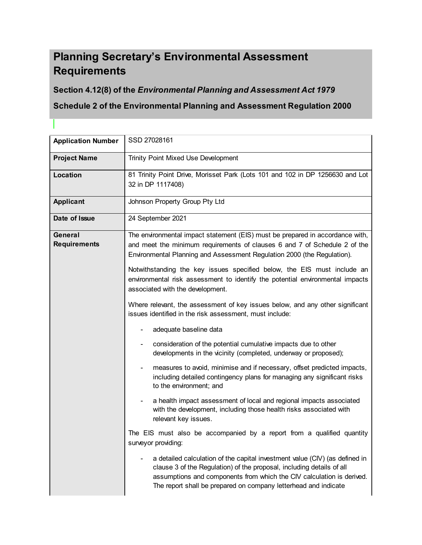# **Planning Secretary's Environmental Assessment Requirements**

I

# **Section 4.12(8) of the** *Environmental Planning and Assessment Act 1979*

# **Schedule 2 of the Environmental Planning and Assessment Regulation 2000**

| <b>Application Number</b>      | SSD 27028161                                                                                                                                                                                                                                                                                                     |  |  |
|--------------------------------|------------------------------------------------------------------------------------------------------------------------------------------------------------------------------------------------------------------------------------------------------------------------------------------------------------------|--|--|
| <b>Project Name</b>            | Trinity Point Mixed Use Development                                                                                                                                                                                                                                                                              |  |  |
| Location                       | 81 Trinity Point Drive, Morisset Park (Lots 101 and 102 in DP 1256630 and Lot<br>32 in DP 1117408)                                                                                                                                                                                                               |  |  |
| <b>Applicant</b>               | Johnson Property Group Pty Ltd                                                                                                                                                                                                                                                                                   |  |  |
| Date of Issue                  | 24 September 2021                                                                                                                                                                                                                                                                                                |  |  |
| General<br><b>Requirements</b> | The environmental impact statement (EIS) must be prepared in accordance with,<br>and meet the minimum requirements of clauses 6 and 7 of Schedule 2 of the<br>Environmental Planning and Assessment Regulation 2000 (the Regulation).<br>Notwithstanding the key issues specified below, the EIS must include an |  |  |
|                                | environmental risk assessment to identify the potential environmental impacts<br>associated with the development.                                                                                                                                                                                                |  |  |
|                                | Where relevant, the assessment of key issues below, and any other significant<br>issues identified in the risk assessment, must include:                                                                                                                                                                         |  |  |
|                                | adequate baseline data                                                                                                                                                                                                                                                                                           |  |  |
|                                | consideration of the potential cumulative impacts due to other<br>developments in the vicinity (completed, underway or proposed);                                                                                                                                                                                |  |  |
|                                | measures to avoid, minimise and if necessary, offset predicted impacts,<br>including detailed contingency plans for managing any significant risks<br>to the environment; and                                                                                                                                    |  |  |
|                                | a health impact assessment of local and regional impacts associated<br>with the development, including those health risks associated with<br>relevant key issues.                                                                                                                                                |  |  |
|                                | The EIS must also be accompanied by a report from a qualified quantity<br>surveyor providing:                                                                                                                                                                                                                    |  |  |
|                                | a detailed calculation of the capital investment value (CIV) (as defined in<br>clause 3 of the Regulation) of the proposal, including details of all<br>assumptions and components from which the CIV calculation is derived.<br>The report shall be prepared on company letterhead and indicate                 |  |  |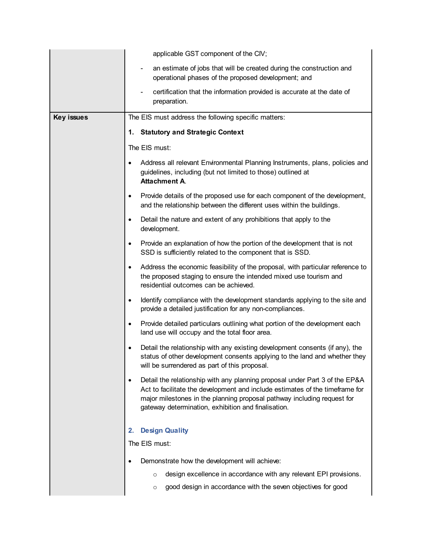| applicable GST component of the CIV;                                                                                                                                                                                                                                                                       |
|------------------------------------------------------------------------------------------------------------------------------------------------------------------------------------------------------------------------------------------------------------------------------------------------------------|
| an estimate of jobs that will be created during the construction and<br>operational phases of the proposed development; and                                                                                                                                                                                |
| certification that the information provided is accurate at the date of<br>preparation.                                                                                                                                                                                                                     |
| The EIS must address the following specific matters:                                                                                                                                                                                                                                                       |
| <b>Statutory and Strategic Context</b><br>1.                                                                                                                                                                                                                                                               |
| The EIS must:                                                                                                                                                                                                                                                                                              |
| Address all relevant Environmental Planning Instruments, plans, policies and<br>guidelines, including (but not limited to those) outlined at<br><b>Attachment A.</b>                                                                                                                                       |
| Provide details of the proposed use for each component of the development,<br>$\bullet$<br>and the relationship between the different uses within the buildings.                                                                                                                                           |
| Detail the nature and extent of any prohibitions that apply to the<br>$\bullet$<br>development.                                                                                                                                                                                                            |
| Provide an explanation of how the portion of the development that is not<br>$\bullet$<br>SSD is sufficiently related to the component that is SSD.                                                                                                                                                         |
| Address the economic feasibility of the proposal, with particular reference to<br>$\bullet$<br>the proposed staging to ensure the intended mixed use tourism and<br>residential outcomes can be achieved.                                                                                                  |
| Identify compliance with the development standards applying to the site and<br>٠<br>provide a detailed justification for any non-compliances.                                                                                                                                                              |
| Provide detailed particulars outlining what portion of the development each<br>$\bullet$<br>land use will occupy and the total floor area.                                                                                                                                                                 |
| Detail the relationship with any existing development consents (if any), the<br>$\bullet$<br>status of other development consents applying to the land and whether they<br>will be surrendered as part of this proposal.                                                                                   |
| Detail the relationship with any planning proposal under Part 3 of the EP&A<br>$\bullet$<br>Act to facilitate the development and include estimates of the timeframe for<br>major milestones in the planning proposal pathway including request for<br>gateway determination, exhibition and finalisation. |
| <b>Design Quality</b><br>2.                                                                                                                                                                                                                                                                                |
| The EIS must:                                                                                                                                                                                                                                                                                              |
| Demonstrate how the development will achieve:<br>٠                                                                                                                                                                                                                                                         |
| design excellence in accordance with any relevant EPI provisions.<br>$\circ$                                                                                                                                                                                                                               |
| good design in accordance with the seven objectives for good<br>$\circ$                                                                                                                                                                                                                                    |
|                                                                                                                                                                                                                                                                                                            |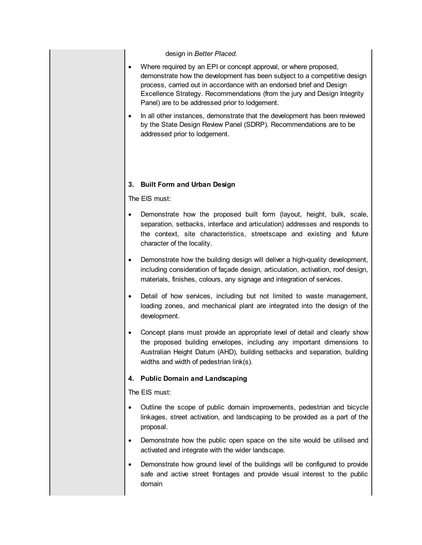design in *Better Placed*.

- Where required by an EPI or concept approval, or where proposed, demonstrate how the development has been subject to a competitive design process, carried out in accordance with an endorsed brief and Design Excellence Strategy. Recommendations (from the jury and Design Integrity Panel) are to be addressed prior to lodgement.
- In all other instances, demonstrate that the development has been reviewed by the State Design Review Panel (SDRP). Recommendations are to be addressed prior to lodgement.

# **3. Built Form and Urban Design**

The EIS must:

- Demonstrate how the proposed built form (layout, height, bulk, scale, separation, setbacks, interface and articulation) addresses and responds to the context, site characteristics, streetscape and existing and future character of the locality.
- Demonstrate how the building design will deliver a high-quality development, including consideration of façade design, articulation, activation, roof design, materials, finishes, colours, any signage and integration of services.
- Detail of how services, including but not limited to waste management, loading zones, and mechanical plant are integrated into the design of the development.
- Concept plans must provide an appropriate level of detail and clearly show the proposed building envelopes, including any important dimensions to Australian Height Datum (AHD), building setbacks and separation, building widths and width of pedestrian link(s).

# **4. Public Domain and Landscaping**

- Outline the scope of public domain improvements, pedestrian and bicycle linkages, street activation, and landscaping to be provided as a part of the proposal.
- Demonstrate how the public open space on the site would be utilised and activated and integrate with the wider landscape.
- Demonstrate how ground level of the buildings will be configured to provide safe and active street frontages and provide visual interest to the public domain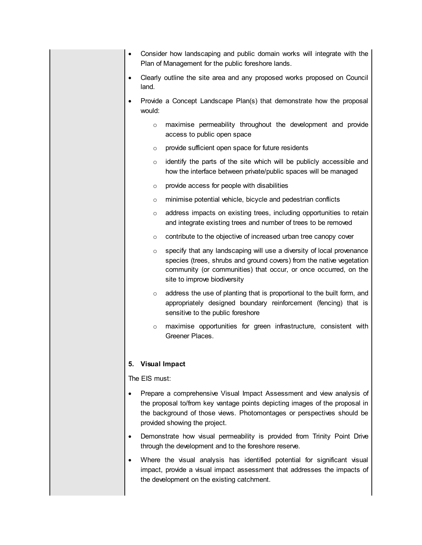- Consider how landscaping and public domain works will integrate with the Plan of Management for the public foreshore lands.
- Clearly outline the site area and any proposed works proposed on Council land.
- Provide a Concept Landscape Plan(s) that demonstrate how the proposal would:
	- o maximise permeability throughout the development and provide access to public open space
	- o provide sufficient open space for future residents
	- $\circ$  identify the parts of the site which will be publicly accessible and how the interface between private/public spaces will be managed
	- o provide access for people with disabilities
	- o minimise potential vehicle, bicycle and pedestrian conflicts
	- o address impacts on existing trees, including opportunities to retain and integrate existing trees and number of trees to be removed
	- o contribute to the objective of increased urban tree canopy cover
	- $\circ$  specify that any landscaping will use a diversity of local provenance species (trees, shrubs and ground covers) from the native vegetation community (or communities) that occur, or once occurred, on the site to improve biodiversity
	- o address the use of planting that is proportional to the built form, and appropriately designed boundary reinforcement (fencing) that is sensitive to the public foreshore
	- o maximise opportunities for green infrastructure, consistent with Greener Places.

# **5. Visual Impact**

- Prepare a comprehensive Visual Impact Assessment and view analysis of the proposal to/from key vantage points depicting images of the proposal in the background of those views. Photomontages or perspectives should be provided showing the project.
- Demonstrate how visual permeability is provided from Trinity Point Drive through the development and to the foreshore reserve.
- Where the visual analysis has identified potential for significant visual impact, provide a visual impact assessment that addresses the impacts of the development on the existing catchment.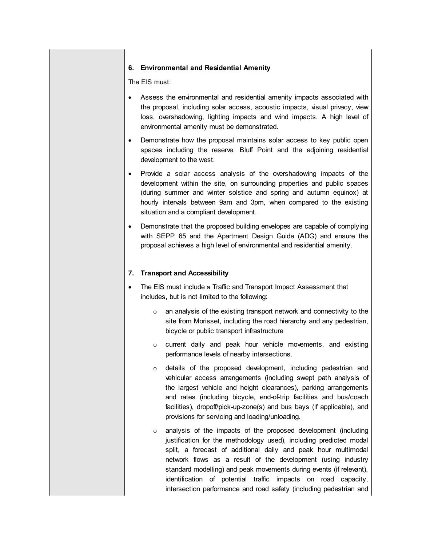#### **6. Environmental and Residential Amenity**

The EIS must:

- Assess the environmental and residential amenity impacts associated with the proposal, including solar access, acoustic impacts, visual privacy, view loss, overshadowing, lighting impacts and wind impacts. A high level of environmental amenity must be demonstrated.
- Demonstrate how the proposal maintains solar access to key public open spaces including the reserve, Bluff Point and the adjoining residential development to the west.
- Provide a solar access analysis of the overshadowing impacts of the development within the site, on surrounding properties and public spaces (during summer and winter solstice and spring and autumn equinox) at hourly intervals between 9am and 3pm, when compared to the existing situation and a compliant development.
- Demonstrate that the proposed building envelopes are capable of complying with SEPP 65 and the Apartment Design Guide (ADG) and ensure the proposal achieves a high level of environmental and residential amenity.

# **7. Transport and Accessibility**

- The EIS must include a Traffic and Transport Impact Assessment that includes, but is not limited to the following:
	- $\circ$  an analysis of the existing transport network and connectivity to the site from Morisset, including the road hierarchy and any pedestrian, bicycle or public transport infrastructure
	- o current daily and peak hour vehicle movements, and existing performance levels of nearby intersections.
	- o details of the proposed development, including pedestrian and vehicular access arrangements (including swept path analysis of the largest vehicle and height clearances), parking arrangements and rates (including bicycle, end-of-trip facilities and bus/coach facilities), dropoff/pick-up-zone(s) and bus bays (if applicable), and provisions for servicing and loading/unloading.
	- o analysis of the impacts of the proposed development (including justification for the methodology used), including predicted modal split, a forecast of additional daily and peak hour multimodal network flows as a result of the development (using industry standard modelling) and peak movements during events (if relevant), identification of potential traffic impacts on road capacity, intersection performance and road safety (including pedestrian and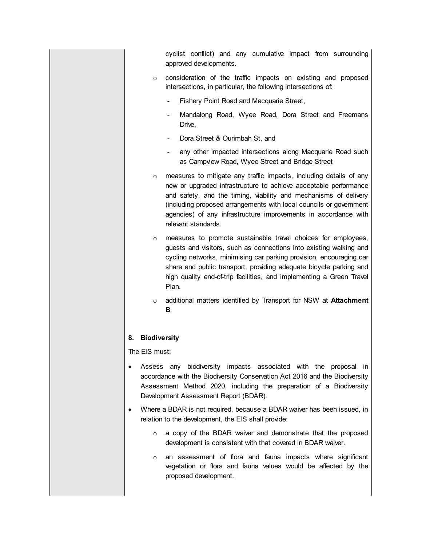cyclist conflict) and any cumulative impact from surrounding approved developments.

- o consideration of the traffic impacts on existing and proposed intersections, in particular, the following intersections of:
	- Fishery Point Road and Macquarie Street,
	- Mandalong Road, Wyee Road, Dora Street and Freemans Drive,
	- Dora Street & Ourimbah St, and
	- any other impacted intersections along Macquarie Road such as Campview Road, Wyee Street and Bridge Street
- o measures to mitigate any traffic impacts, including details of any new or upgraded infrastructure to achieve acceptable performance and safety, and the timing, viability and mechanisms of delivery (including proposed arrangements with local councils or government agencies) of any infrastructure improvements in accordance with relevant standards.
- o measures to promote sustainable travel choices for employees, guests and visitors, such as connections into existing walking and cycling networks, minimising car parking provision, encouraging car share and public transport, providing adequate bicycle parking and high quality end-of-trip facilities, and implementing a Green Travel Plan.
- o additional matters identified by Transport for NSW at **Attachment B**.

#### **8. Biodiversity**

- Assess any biodiversity impacts associated with the proposal in accordance with the Biodiversity Conservation Act 2016 and the Biodiversity Assessment Method 2020, including the preparation of a Biodiversity Development Assessment Report (BDAR).
- Where a BDAR is not required, because a BDAR waiver has been issued, in relation to the development, the EIS shall provide:
	- o a copy of the BDAR waiver and demonstrate that the proposed development is consistent with that covered in BDAR waiver.
	- o an assessment of flora and fauna impacts where significant vegetation or flora and fauna values would be affected by the proposed development.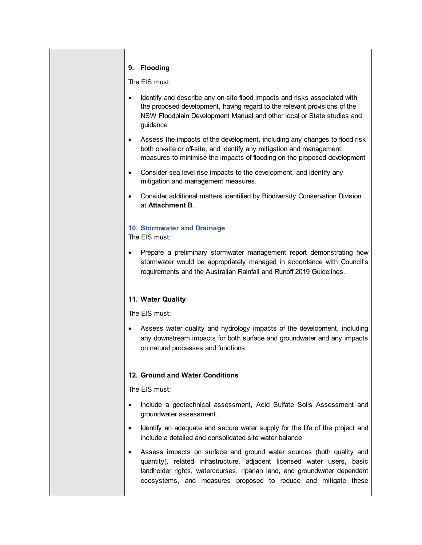#### **9. Flooding**

The EIS must:

- Identify and describe any on-site flood impacts and risks associated with the proposed development, having regard to the relevant provisions of the NSW Floodplain Development Manual and other local or State studies and guidance
- Assess the impacts of the development, including any changes to flood risk both on-site or off-site, and identify any mitigation and management measures to minimise the impacts of flooding on the proposed development
- Consider sea level rise impacts to the development, and identify any mitigation and management measures.
- Consider additional matters identified by Biodiversity Conservation Division at **Attachment B**.

# **10. Stormwater and Drainage**

The EIS must:

• Prepare a preliminary stormwater management report demonstrating how stormwater would be appropriately managed in accordance with Council's requirements and the Australian Rainfall and Runoff 2019 Guidelines.

# **11. Water Quality**

The EIS must:

 Assess water quality and hydrology impacts of the development, including any downstream impacts for both surface and groundwater and any impacts on natural processes and functions.

#### **12. Ground and Water Conditions**

- Include a geotechnical assessment, Acid Sulfate Soils Assessment and groundwater assessment.
- Identify an adequate and secure water supply for the life of the project and include a detailed and consolidated site water balance
- Assess impacts on surface and ground water sources (both quality and quantity), related infrastructure, adjacent licensed water users, basic landholder rights, watercourses, riparian land, and groundwater dependent ecosystems, and measures proposed to reduce and mitigate these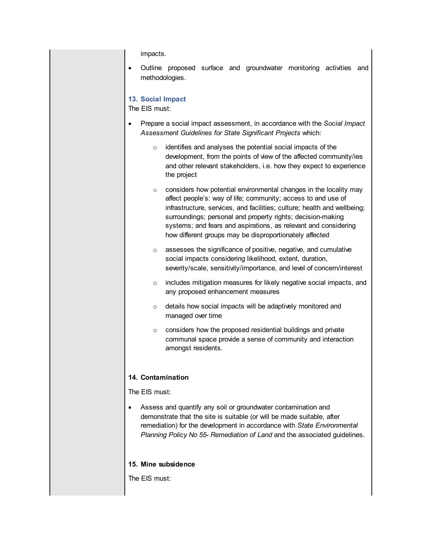impacts.

 Outline proposed surface and groundwater monitoring activities and methodologies.

# **13. Social Impact**

The EIS must:

- Prepare a social impact assessment, in accordance with the *Social Impact Assessment Guidelines for State Significant Projects* which:
	- o identifies and analyses the potential social impacts of the development, from the points of view of the affected community/ies and other relevant stakeholders, i.e. how they expect to experience the project
	- o considers how potential environmental changes in the locality may affect people's: way of life; community; access to and use of infrastructure, services, and facilities; culture; health and wellbeing; surroundings; personal and property rights; decision-making systems; and fears and aspirations, as relevant and considering how different groups may be disproportionately affected
	- o assesses the significance of positive, negative, and cumulative social impacts considering likelihood, extent, duration, severity/scale, sensitivity/importance, and level of concern/interest
	- o includes mitigation measures for likely negative social impacts, and any proposed enhancement measures
	- o details how social impacts will be adaptively monitored and managed over time
	- $\circ$  considers how the proposed residential buildings and private communal space provide a sense of community and interaction amongst residents.

# **14. Contamination**

The EIS must:

 Assess and quantify any soil or groundwater contamination and demonstrate that the site is suitable (or will be made suitable, after remediation) for the development in accordance with *State Environmental Planning Policy No 55- Remediation of Land* and the associated guidelines.

#### **15. Mine subsidence**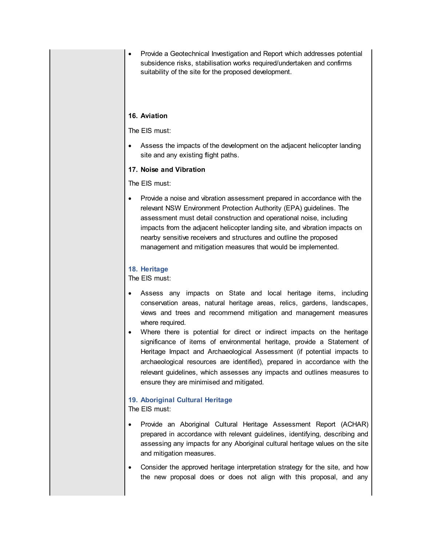Provide a Geotechnical Investigation and Report which addresses potential subsidence risks, stabilisation works required/undertaken and confirms suitability of the site for the proposed development.

#### **16. Aviation**

The EIS must:

 Assess the impacts of the development on the adjacent helicopter landing site and any existing flight paths.

#### **17. Noise and Vibration**

The EIS must:

 Provide a noise and vibration assessment prepared in accordance with the relevant NSW Environment Protection Authority (EPA) guidelines. The assessment must detail construction and operational noise, including impacts from the adjacent helicopter landing site, and vibration impacts on nearby sensitive receivers and structures and outline the proposed management and mitigation measures that would be implemented.

#### **18. Heritage**

The EIS must:

- Assess any impacts on State and local heritage items, including conservation areas, natural heritage areas, relics, gardens, landscapes, views and trees and recommend mitigation and management measures where required.
- Where there is potential for direct or indirect impacts on the heritage significance of items of environmental heritage, provide a Statement of Heritage Impact and Archaeological Assessment (if potential impacts to archaeological resources are identified), prepared in accordance with the relevant guidelines, which assesses any impacts and outlines measures to ensure they are minimised and mitigated.

#### **19. Aboriginal Cultural Heritage**

- Provide an Aboriginal Cultural Heritage Assessment Report (ACHAR) prepared in accordance with relevant guidelines, identifying, describing and assessing any impacts for any Aboriginal cultural heritage values on the site and mitigation measures.
- Consider the approved heritage interpretation strategy for the site, and how the new proposal does or does not align with this proposal, and any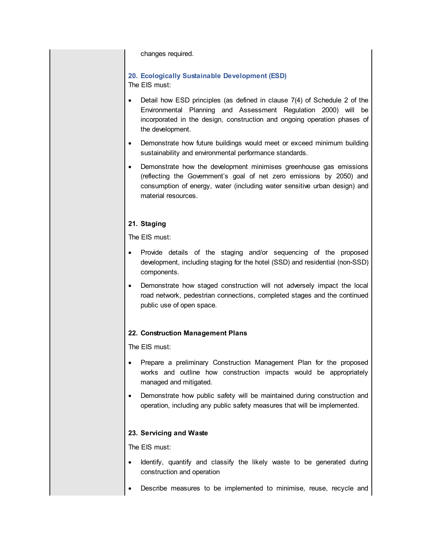changes required.

# **20. Ecologically Sustainable Development (ESD)**

The EIS must:

- Detail how ESD principles (as defined in clause 7(4) of Schedule 2 of the Environmental Planning and Assessment Regulation 2000) will be incorporated in the design, construction and ongoing operation phases of the development.
- Demonstrate how future buildings would meet or exceed minimum building sustainability and environmental performance standards.
- Demonstrate how the development minimises greenhouse gas emissions (reflecting the Government's goal of net zero emissions by 2050) and consumption of energy, water (including water sensitive urban design) and material resources.

# **21. Staging**

The EIS must:

- Provide details of the staging and/or sequencing of the proposed development, including staging for the hotel (SSD) and residential (non-SSD) components.
- Demonstrate how staged construction will not adversely impact the local road network, pedestrian connections, completed stages and the continued public use of open space.

# **22. Construction Management Plans**

The EIS must:

- Prepare a preliminary Construction Management Plan for the proposed works and outline how construction impacts would be appropriately managed and mitigated.
- Demonstrate how public safety will be maintained during construction and operation, including any public safety measures that will be implemented.

# **23. Servicing and Waste**

- Identify, quantify and classify the likely waste to be generated during construction and operation
- Describe measures to be implemented to minimise, reuse, recycle and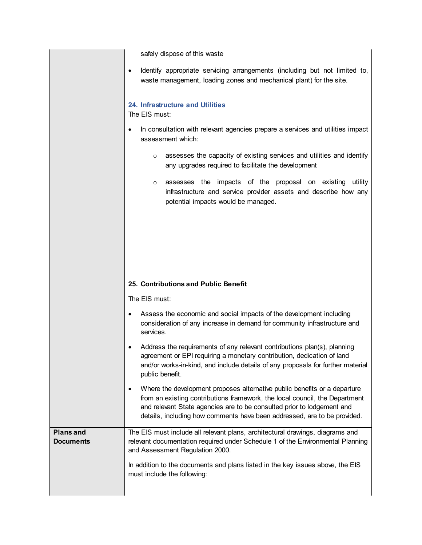safely dispose of this waste

|  |  | Identify appropriate servicing arrangements (including but not limited to, |  |  |  |
|--|--|----------------------------------------------------------------------------|--|--|--|
|  |  | waste management, loading zones and mechanical plant) for the site.        |  |  |  |

# **24. Infrastructure and Utilities**

The EIS must:

- In consultation with relevant agencies prepare a services and utilities impact assessment which:
	- o assesses the capacity of existing services and utilities and identify any upgrades required to facilitate the development
	- o assesses the impacts of the proposal on existing utility infrastructure and service provider assets and describe how any potential impacts would be managed.

# **25. Contributions and Public Benefit**

- Assess the economic and social impacts of the development including consideration of any increase in demand for community infrastructure and services.
- Address the requirements of any relevant contributions plan(s), planning agreement or EPI requiring a monetary contribution, dedication of land and/or works-in-kind, and include details of any proposals for further material public benefit.
- Where the development proposes alternative public benefits or a departure from an existing contributions framework, the local council, the Department and relevant State agencies are to be consulted prior to lodgement and details, including how comments have been addressed, are to be provided.

| <b>Plans and</b> | The EIS must include all relevant plans, architectural drawings, diagrams and                                     |  |  |
|------------------|-------------------------------------------------------------------------------------------------------------------|--|--|
| <b>Documents</b> | relevant documentation required under Schedule 1 of the Environmental Planning<br>and Assessment Regulation 2000. |  |  |
|                  | In addition to the documents and plans listed in the key issues above, the EIS<br>must include the following:     |  |  |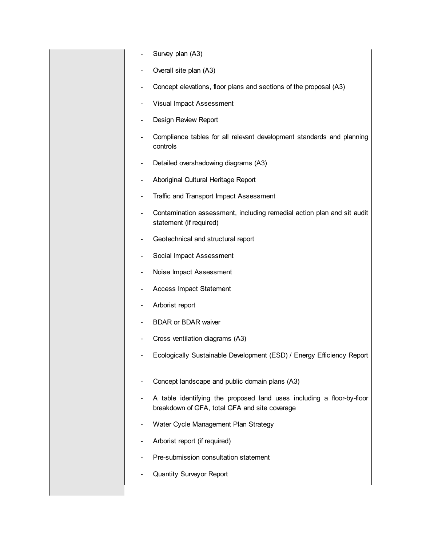- Survey plan (A3)
- Overall site plan (A3)
- Concept elevations, floor plans and sections of the proposal (A3)
- Visual Impact Assessment
- Design Review Report
- Compliance tables for all relevant development standards and planning controls
- Detailed overshadowing diagrams (A3)
- Aboriginal Cultural Heritage Report
- Traffic and Transport Impact Assessment
- Contamination assessment, including remedial action plan and sit audit statement (if required)
- Geotechnical and structural report
- Social Impact Assessment
- Noise Impact Assessment
- Access Impact Statement
- Arborist report
- BDAR or BDAR waiver
- Cross ventilation diagrams (A3)
- Ecologically Sustainable Development (ESD) / Energy Efficiency Report
- Concept landscape and public domain plans (A3)
- A table identifying the proposed land uses including a floor-by-floor breakdown of GFA, total GFA and site coverage
- Water Cycle Management Plan Strategy
- Arborist report (if required)
- Pre-submission consultation statement
- Quantity Surveyor Report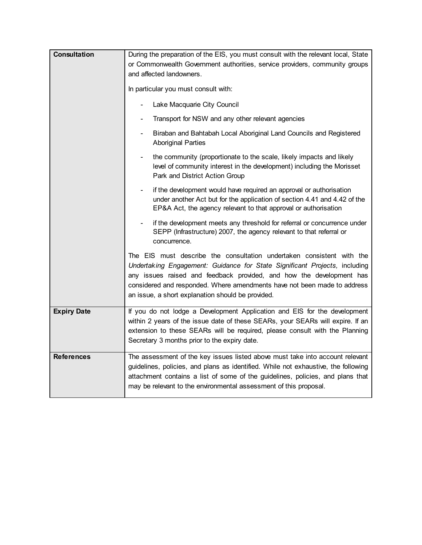| <b>Consultation</b> | During the preparation of the EIS, you must consult with the relevant local, State<br>or Commonwealth Government authorities, service providers, community groups<br>and affected landowners.                                                                                                                                                                |  |  |  |
|---------------------|--------------------------------------------------------------------------------------------------------------------------------------------------------------------------------------------------------------------------------------------------------------------------------------------------------------------------------------------------------------|--|--|--|
|                     | In particular you must consult with:                                                                                                                                                                                                                                                                                                                         |  |  |  |
|                     | Lake Macquarie City Council                                                                                                                                                                                                                                                                                                                                  |  |  |  |
|                     | Transport for NSW and any other relevant agencies                                                                                                                                                                                                                                                                                                            |  |  |  |
|                     | Biraban and Bahtabah Local Aboriginal Land Councils and Registered<br>$\overline{\phantom{a}}$<br><b>Aboriginal Parties</b>                                                                                                                                                                                                                                  |  |  |  |
|                     | the community (proportionate to the scale, likely impacts and likely<br>level of community interest in the development) including the Morisset<br>Park and District Action Group                                                                                                                                                                             |  |  |  |
|                     | if the development would have required an approval or authorisation<br>$\blacksquare$<br>under another Act but for the application of section 4.41 and 4.42 of the<br>EP&A Act, the agency relevant to that approval or authorisation                                                                                                                        |  |  |  |
|                     | if the development meets any threshold for referral or concurrence under<br>SEPP (Infrastructure) 2007, the agency relevant to that referral or<br>concurrence.                                                                                                                                                                                              |  |  |  |
|                     | The EIS must describe the consultation undertaken consistent with the<br>Undertaking Engagement: Guidance for State Significant Projects, including<br>any issues raised and feedback provided, and how the development has<br>considered and responded. Where amendments have not been made to address<br>an issue, a short explanation should be provided. |  |  |  |
| <b>Expiry Date</b>  | If you do not lodge a Development Application and EIS for the development<br>within 2 years of the issue date of these SEARs, your SEARs will expire. If an<br>extension to these SEARs will be required, please consult with the Planning<br>Secretary 3 months prior to the expiry date.                                                                   |  |  |  |
| <b>References</b>   | The assessment of the key issues listed above must take into account relevant<br>guidelines, policies, and plans as identified. While not exhaustive, the following<br>attachment contains a list of some of the guidelines, policies, and plans that<br>may be relevant to the environmental assessment of this proposal.                                   |  |  |  |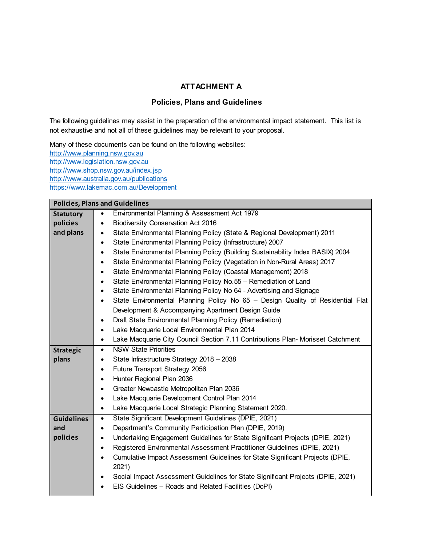# **ATTACHMENT A**

# **Policies, Plans and Guidelines**

The following guidelines may assist in the preparation of the environmental impact statement. This list is not exhaustive and not all of these guidelines may be relevant to your proposal.

Many of these documents can be found on the following websites: <http://www.planning.nsw.gov.au> http://www.legislation.nsw.gov.au http://www.shop.nsw.gov.au/index.jsp <http://www.australia.gov.au/publications> <https://www.lakemac.com.au/Development>

| <b>Policies, Plans and Guidelines</b> |                                                                                              |  |  |  |
|---------------------------------------|----------------------------------------------------------------------------------------------|--|--|--|
| <b>Statutory</b>                      | Environmental Planning & Assessment Act 1979<br>٠                                            |  |  |  |
| policies                              | <b>Biodiversity Conservation Act 2016</b><br>$\bullet$                                       |  |  |  |
| and plans                             | State Environmental Planning Policy (State & Regional Development) 2011                      |  |  |  |
|                                       | State Environmental Planning Policy (Infrastructure) 2007                                    |  |  |  |
|                                       | State Environmental Planning Policy (Building Sustainability Index BASIX) 2004<br>$\bullet$  |  |  |  |
|                                       | State Environmental Planning Policy (Vegetation in Non-Rural Areas) 2017<br>$\bullet$        |  |  |  |
|                                       | State Environmental Planning Policy (Coastal Management) 2018                                |  |  |  |
|                                       | State Environmental Planning Policy No.55 - Remediation of Land<br>$\bullet$                 |  |  |  |
|                                       | State Environmental Planning Policy No 64 - Advertising and Signage<br>$\bullet$             |  |  |  |
|                                       | State Environmental Planning Policy No 65 - Design Quality of Residential Flat<br>$\bullet$  |  |  |  |
|                                       | Development & Accompanying Apartment Design Guide                                            |  |  |  |
|                                       | Draft State Environmental Planning Policy (Remediation)<br>$\bullet$                         |  |  |  |
|                                       | Lake Macquarie Local Environmental Plan 2014<br>$\bullet$                                    |  |  |  |
|                                       | Lake Macquarie City Council Section 7.11 Contributions Plan- Morisset Catchment<br>$\bullet$ |  |  |  |
| <b>Strategic</b>                      | <b>NSW State Priorities</b><br>$\bullet$                                                     |  |  |  |
| plans                                 | State Infrastructure Strategy 2018 - 2038<br>٠                                               |  |  |  |
|                                       | Future Transport Strategy 2056<br>$\bullet$                                                  |  |  |  |
|                                       | Hunter Regional Plan 2036<br>$\bullet$                                                       |  |  |  |
|                                       | Greater Newcastle Metropolitan Plan 2036<br>$\bullet$                                        |  |  |  |
|                                       | Lake Macquarie Development Control Plan 2014<br>$\bullet$                                    |  |  |  |
|                                       | Lake Macquarie Local Strategic Planning Statement 2020.<br>$\bullet$                         |  |  |  |
| <b>Guidelines</b>                     | State Significant Development Guidelines (DPIE, 2021)<br>$\bullet$                           |  |  |  |
| and                                   | Department's Community Participation Plan (DPIE, 2019)<br>$\bullet$                          |  |  |  |
| policies                              | Undertaking Engagement Guidelines for State Significant Projects (DPIE, 2021)<br>$\bullet$   |  |  |  |
|                                       | Registered Environmental Assessment Practitioner Guidelines (DPIE, 2021)<br>$\bullet$        |  |  |  |
|                                       | Cumulative Impact Assessment Guidelines for State Significant Projects (DPIE,<br>2021)       |  |  |  |
|                                       | Social Impact Assessment Guidelines for State Significant Projects (DPIE, 2021)<br>٠         |  |  |  |
|                                       | EIS Guidelines - Roads and Related Facilities (DoPI)<br>$\bullet$                            |  |  |  |
|                                       |                                                                                              |  |  |  |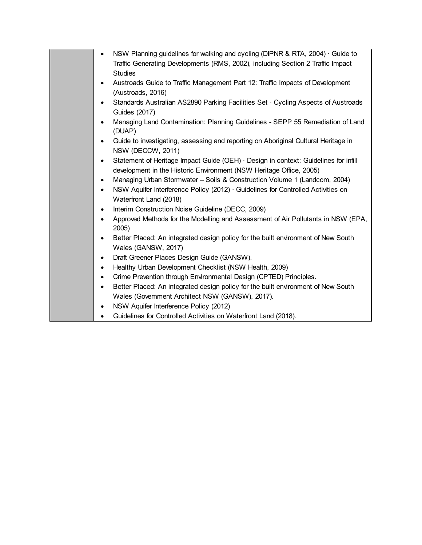| NSW Planning guidelines for walking and cycling (DIPNR & RTA, 2004) Guide to<br>$\bullet$<br>Traffic Generating Developments (RMS, 2002), including Section 2 Traffic Impact<br><b>Studies</b> |
|------------------------------------------------------------------------------------------------------------------------------------------------------------------------------------------------|
| Austroads Guide to Traffic Management Part 12: Traffic Impacts of Development<br>$\bullet$<br>(Austroads, 2016)                                                                                |
| Standards Australian AS2890 Parking Facilities Set · Cycling Aspects of Austroads<br>Guides (2017)                                                                                             |
| Managing Land Contamination: Planning Guidelines - SEPP 55 Remediation of Land<br>(DUAP)                                                                                                       |
| Guide to investigating, assessing and reporting on Aboriginal Cultural Heritage in<br>$\bullet$<br>NSW (DECCW, 2011)                                                                           |
| Statement of Heritage Impact Guide (OEH) · Design in context: Guidelines for infill<br>$\bullet$<br>development in the Historic Environment (NSW Heritage Office, 2005)                        |
| Managing Urban Stormwater - Soils & Construction Volume 1 (Landcom, 2004)<br>$\bullet$                                                                                                         |
| NSW Aquifer Interference Policy (2012) · Guidelines for Controlled Activities on<br>$\bullet$<br>Waterfront Land (2018)                                                                        |
| Interim Construction Noise Guideline (DECC, 2009)<br>$\bullet$                                                                                                                                 |
| Approved Methods for the Modelling and Assessment of Air Pollutants in NSW (EPA,<br>2005)                                                                                                      |
| Better Placed: An integrated design policy for the built environment of New South                                                                                                              |
| Wales (GANSW, 2017)                                                                                                                                                                            |
| Draft Greener Places Design Guide (GANSW).<br>$\bullet$                                                                                                                                        |
| Healthy Urban Development Checklist (NSW Health, 2009)<br>$\bullet$                                                                                                                            |
| Crime Prevention through Environmental Design (CPTED) Principles.<br>$\bullet$                                                                                                                 |
| Better Placed: An integrated design policy for the built environment of New South                                                                                                              |
| Wales (Government Architect NSW (GANSW), 2017).                                                                                                                                                |
| NSW Aquifer Interference Policy (2012)<br>$\bullet$                                                                                                                                            |
| Guidelines for Controlled Activities on Waterfront Land (2018).                                                                                                                                |